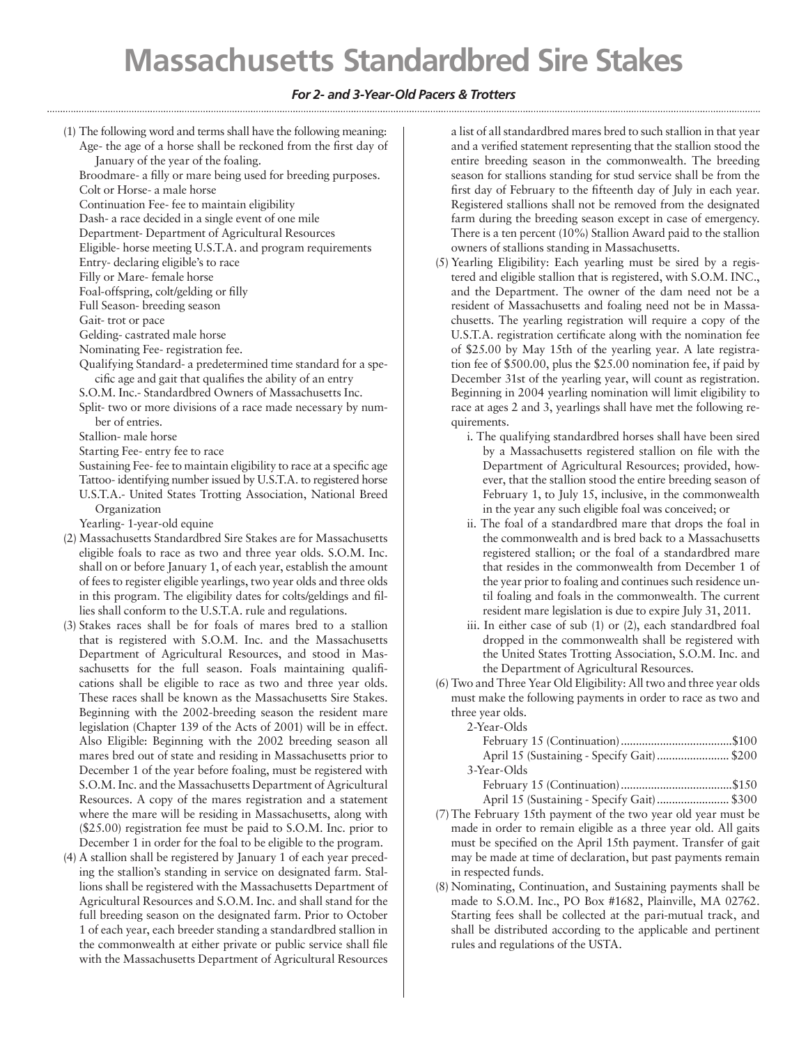## **Massachusetts Standardbred Sire Stakes**

## *For 2- and 3-Year-Old Pacers & Trotters*

(1) The following word and terms shall have the following meaning: Age- the age of a horse shall be reckoned from the first day of January of the year of the foaling.

Broodmare- a filly or mare being used for breeding purposes.

Colt or Horse- a male horse

Continuation Fee- fee to maintain eligibility

Dash- a race decided in a single event of one mile

Department- Department of Agricultural Resources

Eligible- horse meeting U.S.T.A. and program requirements

Entry- declaring eligible's to race

Filly or Mare- female horse

Foal-offspring, colt/gelding or filly Full Season- breeding season

Gait- trot or pace

Gelding- castrated male horse

Nominating Fee- registration fee.

Qualifying Standard- a predetermined time standard for a specific age and gait that qualifies the ability of an entry

S.O.M. Inc.- Standardbred Owners of Massachusetts Inc.

Split- two or more divisions of a race made necessary by number of entries.

Stallion- male horse

Starting Fee- entry fee to race

Sustaining Fee- fee to maintain eligibility to race at a specific age Tattoo- identifying number issued by U.S.T.A. to registered horse U.S.T.A.- United States Trotting Association, National Breed Organization

Yearling- 1-year-old equine

- (2) Massachusetts Standardbred Sire Stakes are for Massachusetts eligible foals to race as two and three year olds. S.O.M. Inc. shall on or before January 1, of each year, establish the amount of fees to register eligible yearlings, two year olds and three olds in this program. The eligibility dates for colts/geldings and fillies shall conform to the U.S.T.A. rule and regulations.
- (3) Stakes races shall be for foals of mares bred to a stallion that is registered with S.O.M. Inc. and the Massachusetts Department of Agricultural Resources, and stood in Massachusetts for the full season. Foals maintaining qualifications shall be eligible to race as two and three year olds. These races shall be known as the Massachusetts Sire Stakes. Beginning with the 2002-breeding season the resident mare legislation (Chapter 139 of the Acts of 2001) will be in effect. Also Eligible: Beginning with the 2002 breeding season all mares bred out of state and residing in Massachusetts prior to December 1 of the year before foaling, must be registered with S.O.M. Inc. and the Massachusetts Department of Agricultural Resources. A copy of the mares registration and a statement where the mare will be residing in Massachusetts, along with (\$25.00) registration fee must be paid to S.O.M. Inc. prior to December 1 in order for the foal to be eligible to the program.
- (4) A stallion shall be registered by January 1 of each year preceding the stallion's standing in service on designated farm. Stallions shall be registered with the Massachusetts Department of Agricultural Resources and S.O.M. Inc. and shall stand for the full breeding season on the designated farm. Prior to October 1 of each year, each breeder standing a standardbred stallion in the commonwealth at either private or public service shall file with the Massachusetts Department of Agricultural Resources

a list of all standardbred mares bred to such stallion in that year and a verified statement representing that the stallion stood the entire breeding season in the commonwealth. The breeding season for stallions standing for stud service shall be from the first day of February to the fifteenth day of July in each year. Registered stallions shall not be removed from the designated farm during the breeding season except in case of emergency. There is a ten percent (10%) Stallion Award paid to the stallion owners of stallions standing in Massachusetts.

- (5) Yearling Eligibility: Each yearling must be sired by a registered and eligible stallion that is registered, with S.O.M. INC., and the Department. The owner of the dam need not be a resident of Massachusetts and foaling need not be in Massachusetts. The yearling registration will require a copy of the U.S.T.A. registration certificate along with the nomination fee of \$25.00 by May 15th of the yearling year. A late registration fee of \$500.00, plus the \$25.00 nomination fee, if paid by December 31st of the yearling year, will count as registration. Beginning in 2004 yearling nomination will limit eligibility to race at ages 2 and 3, yearlings shall have met the following requirements.
	- i. The qualifying standardbred horses shall have been sired by a Massachusetts registered stallion on file with the Department of Agricultural Resources; provided, however, that the stallion stood the entire breeding season of February 1, to July 15, inclusive, in the commonwealth in the year any such eligible foal was conceived; or
	- ii. The foal of a standardbred mare that drops the foal in the commonwealth and is bred back to a Massachusetts registered stallion; or the foal of a standardbred mare that resides in the commonwealth from December 1 of the year prior to foaling and continues such residence until foaling and foals in the commonwealth. The current resident mare legislation is due to expire July 31, 2011.
	- iii. In either case of sub (1) or (2), each standardbred foal dropped in the commonwealth shall be registered with the United States Trotting Association, S.O.M. Inc. and the Department of Agricultural Resources.
- (6) Two and Three Year Old Eligibility: All two and three year olds must make the following payments in order to race as two and three year olds.

2-Year-Olds

| 3-Year-Olds |                                     |  |  |         |  |
|-------------|-------------------------------------|--|--|---------|--|
|             | $\Gamma$ 1 $\Gamma$ $\sim$ $\Gamma$ |  |  | $A - A$ |  |

February 15 (Continuation).....................................\$150 April 15 (Sustaining - Specify Gait)........................ \$300

- (7)The February 15th payment of the two year old year must be made in order to remain eligible as a three year old. All gaits must be specified on the April 15th payment. Transfer of gait may be made at time of declaration, but past payments remain in respected funds.
- (8) Nominating, Continuation, and Sustaining payments shall be made to S.O.M. Inc., PO Box #1682, Plainville, MA 02762. Starting fees shall be collected at the pari-mutual track, and shall be distributed according to the applicable and pertinent rules and regulations of the USTA.